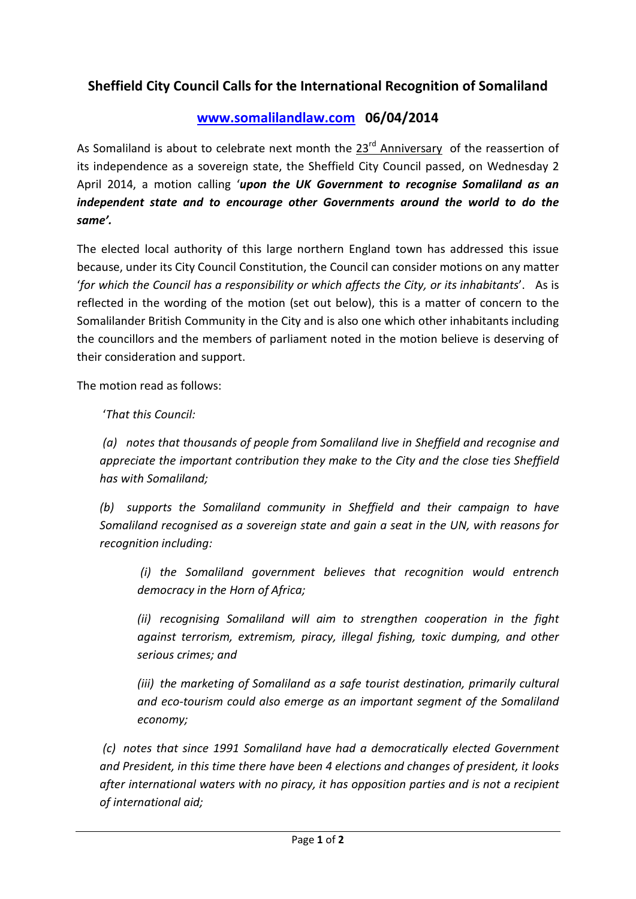## **Sheffield City Council Calls for the International Recognition of Somaliland**

## **[www.somalilandlaw.com](http://www.somalilandlaw.com/) 06/04/2014**

As Somaliland is about to celebrate next month the  $23^{rd}$  Anniversary of the reassertion of its independence as a sovereign state, the Sheffield City Council passed, on Wednesday 2 April 2014, a motion calling '*upon the UK Government to recognise Somaliland as an independent state and to encourage other Governments around the world to do the same'.*

The elected local authority of this large northern England town has addressed this issue because, under its City Council Constitution, the Council can consider motions on any matter '*for which the Council has a responsibility or which affects the City, or its inhabitants*'. As is reflected in the wording of the motion (set out below), this is a matter of concern to the Somalilander British Community in the City and is also one which other inhabitants including the councillors and the members of parliament noted in the motion believe is deserving of their consideration and support.

The motion read as follows:

'*That this Council:*

*(a) notes that thousands of people from Somaliland live in Sheffield and recognise and appreciate the important contribution they make to the City and the close ties Sheffield has with Somaliland;*

*(b) supports the Somaliland community in Sheffield and their campaign to have Somaliland recognised as a sovereign state and gain a seat in the UN, with reasons for recognition including:*

*(i) the Somaliland government believes that recognition would entrench democracy in the Horn of Africa;*

*(ii) recognising Somaliland will aim to strengthen cooperation in the fight against terrorism, extremism, piracy, illegal fishing, toxic dumping, and other serious crimes; and*

*(iii)* the marketing of Somaliland as a safe tourist destination, primarily cultural *and eco-tourism could also emerge as an important segment of the Somaliland economy;*

*(c) notes that since 1991 Somaliland have had a democratically elected Government and President, in this time there have been 4 elections and changes of president, it looks after international waters with no piracy, it has opposition parties and is not a recipient of international aid;*